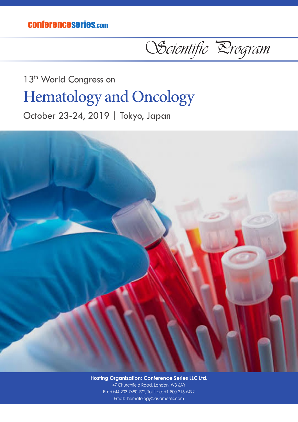conferenceseries.com

OScientific Drogram

## 13<sup>th</sup> World Congress on Hematology and Oncology

October 23-24, 2019 | Tokyo, Japan



**Hosting Organization: Conference Series LLC Ltd.** 47 Churchfield Road, London, W3 6AY Ph: ++44-203-7690-972, Toll free: +1-800-216-6499 Email: hematology@asiameets.com